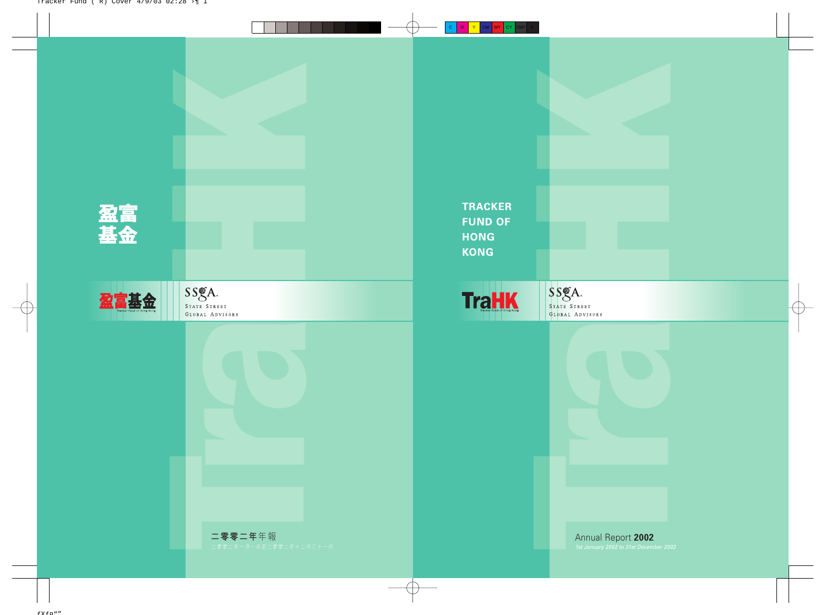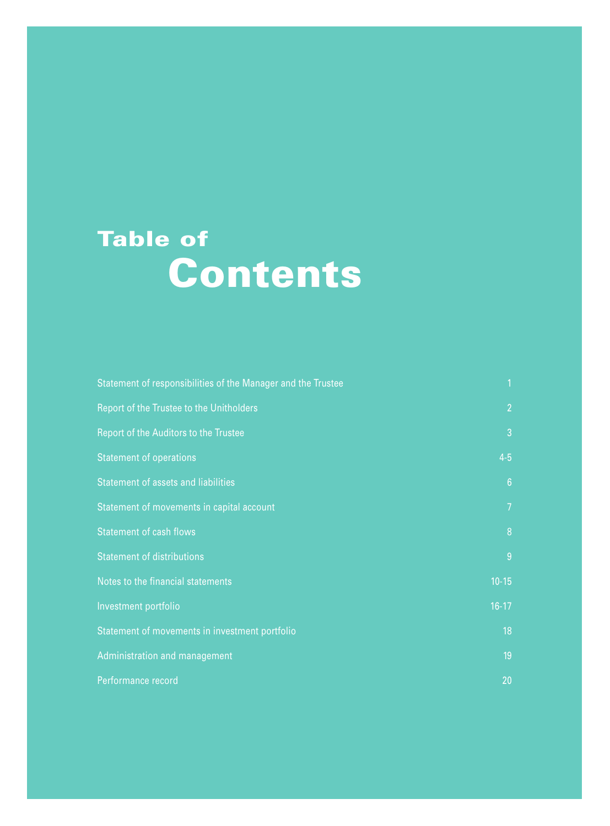# **Table of Contents**

| Statement of responsibilities of the Manager and the Trustee | 1               |
|--------------------------------------------------------------|-----------------|
| Report of the Trustee to the Unitholders                     | $\overline{2}$  |
| <b>Report of the Auditors to the Trustee</b>                 | 3               |
| <b>Statement of operations</b>                               | $4 - 5$         |
| Statement of assets and liabilities                          | $6\phantom{1}6$ |
| Statement of movements in capital account                    | $\overline{7}$  |
| <b>Statement of cash flows</b>                               | 8               |
| <b>Statement of distributions</b>                            | 9               |
| Notes to the financial statements                            | $10 - 15$       |
| Investment portfolio                                         | $16 - 17$       |
| Statement of movements in investment portfolio               | 18              |
| Administration and management                                | 19              |
| Performance record                                           | 20              |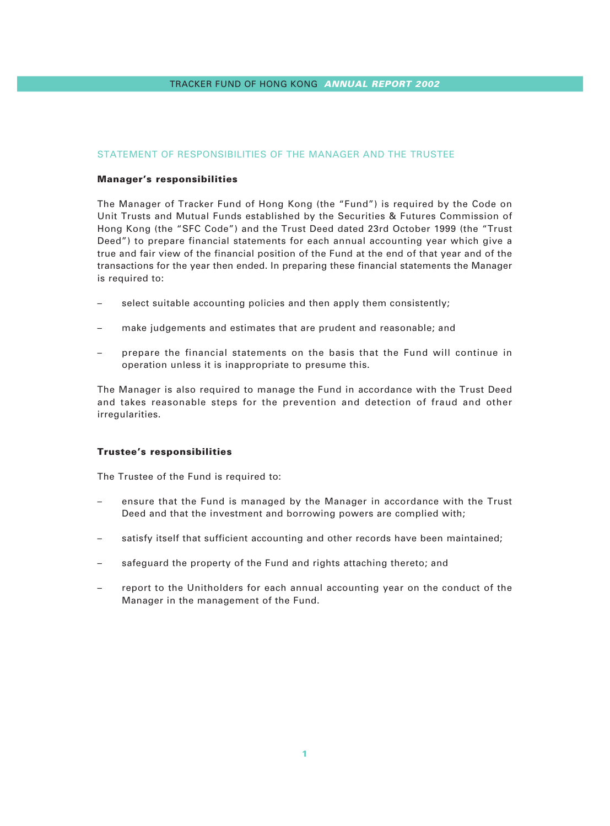# STATEMENT OF RESPONSIBILITIES OF THE MANAGER AND THE TRUSTEE

#### **Manager's responsibilities**

The Manager of Tracker Fund of Hong Kong (the "Fund") is required by the Code on Unit Trusts and Mutual Funds established by the Securities & Futures Commission of Hong Kong (the "SFC Code") and the Trust Deed dated 23rd October 1999 (the "Trust Deed") to prepare financial statements for each annual accounting year which give a true and fair view of the financial position of the Fund at the end of that year and of the transactions for the year then ended. In preparing these financial statements the Manager is required to:

- select suitable accounting policies and then apply them consistently;
- make judgements and estimates that are prudent and reasonable; and
- prepare the financial statements on the basis that the Fund will continue in operation unless it is inappropriate to presume this.

The Manager is also required to manage the Fund in accordance with the Trust Deed and takes reasonable steps for the prevention and detection of fraud and other irregularities.

# **Trustee's responsibilities**

The Trustee of the Fund is required to:

- ensure that the Fund is managed by the Manager in accordance with the Trust Deed and that the investment and borrowing powers are complied with;
- satisfy itself that sufficient accounting and other records have been maintained;
- safeguard the property of the Fund and rights attaching thereto; and
- report to the Unitholders for each annual accounting year on the conduct of the Manager in the management of the Fund.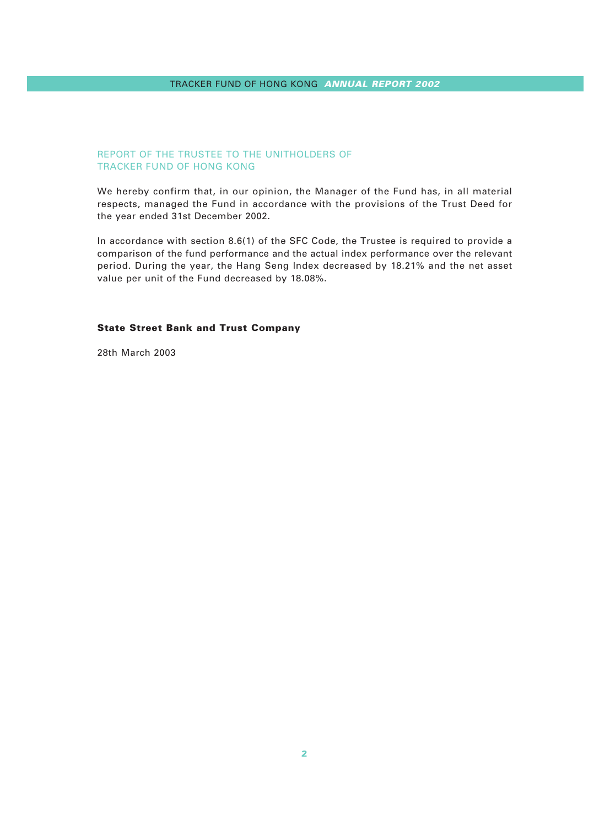# REPORT OF THE TRUSTEE TO THE UNITHOLDERS OF TRACKER FUND OF HONG KONG

We hereby confirm that, in our opinion, the Manager of the Fund has, in all material respects, managed the Fund in accordance with the provisions of the Trust Deed for the year ended 31st December 2002.

In accordance with section 8.6(1) of the SFC Code, the Trustee is required to provide a comparison of the fund performance and the actual index performance over the relevant period. During the year, the Hang Seng Index decreased by 18.21% and the net asset value per unit of the Fund decreased by 18.08%.

# **State Street Bank and Trust Company**

28th March 2003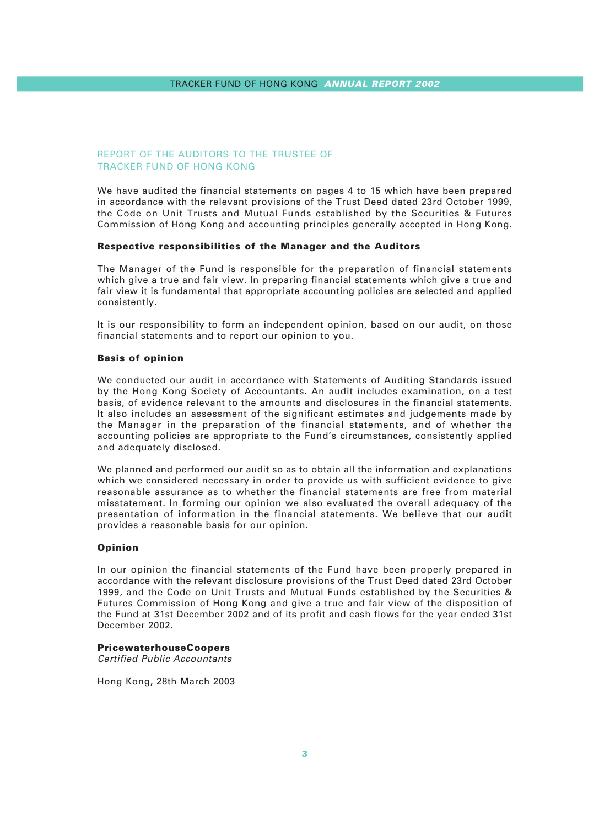# REPORT OF THE AUDITORS TO THE TRUSTEE OF TRACKER FUND OF HONG KONG

We have audited the financial statements on pages 4 to 15 which have been prepared in accordance with the relevant provisions of the Trust Deed dated 23rd October 1999, the Code on Unit Trusts and Mutual Funds established by the Securities & Futures Commission of Hong Kong and accounting principles generally accepted in Hong Kong.

# **Respective responsibilities of the Manager and the Auditors**

The Manager of the Fund is responsible for the preparation of financial statements which give a true and fair view. In preparing financial statements which give a true and fair view it is fundamental that appropriate accounting policies are selected and applied consistently.

It is our responsibility to form an independent opinion, based on our audit, on those financial statements and to report our opinion to you.

# **Basis of opinion**

We conducted our audit in accordance with Statements of Auditing Standards issued by the Hong Kong Society of Accountants. An audit includes examination, on a test basis, of evidence relevant to the amounts and disclosures in the financial statements. It also includes an assessment of the significant estimates and judgements made by the Manager in the preparation of the financial statements, and of whether the accounting policies are appropriate to the Fund's circumstances, consistently applied and adequately disclosed.

We planned and performed our audit so as to obtain all the information and explanations which we considered necessary in order to provide us with sufficient evidence to give reasonable assurance as to whether the financial statements are free from material misstatement. In forming our opinion we also evaluated the overall adequacy of the presentation of information in the financial statements. We believe that our audit provides a reasonable basis for our opinion.

#### **Opinion**

In our opinion the financial statements of the Fund have been properly prepared in accordance with the relevant disclosure provisions of the Trust Deed dated 23rd October 1999, and the Code on Unit Trusts and Mutual Funds established by the Securities & Futures Commission of Hong Kong and give a true and fair view of the disposition of the Fund at 31st December 2002 and of its profit and cash flows for the year ended 31st December 2002.

# **PricewaterhouseCoopers**

Certified Public Accountants

Hong Kong, 28th March 2003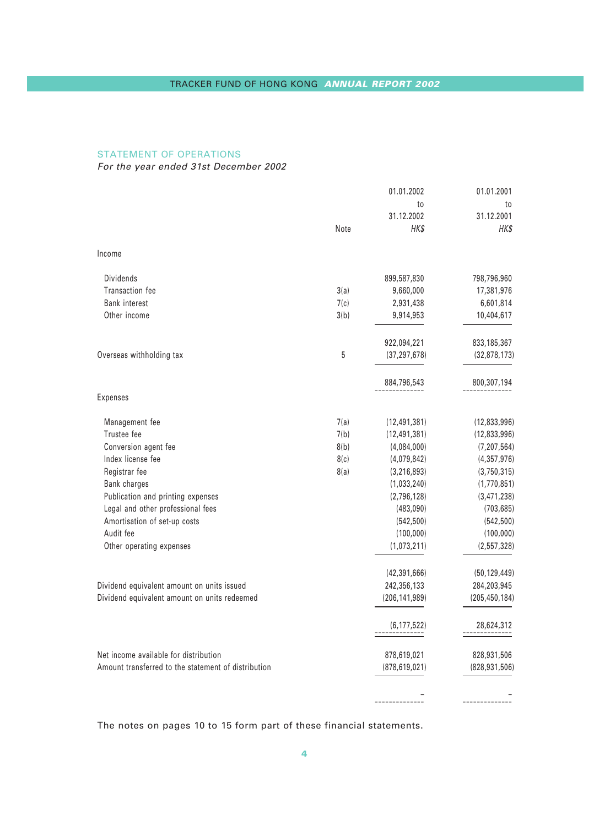# STATEMENT OF OPERATIONS

# For the year ended 31st December 2002

|                                                     |      | 01.01.2002      | 01.01.2001      |
|-----------------------------------------------------|------|-----------------|-----------------|
|                                                     |      | to              | to              |
|                                                     |      | 31.12.2002      | 31.12.2001      |
|                                                     | Note | HK\$            | HK\$            |
| Income                                              |      |                 |                 |
| Dividends                                           |      | 899,587,830     | 798,796,960     |
| <b>Transaction</b> fee                              | 3(a) | 9,660,000       | 17,381,976      |
| <b>Bank interest</b>                                | 7(c) | 2,931,438       | 6,601,814       |
| Other income                                        | 3(b) | 9,914,953       | 10,404,617      |
|                                                     |      | 922,094,221     | 833,185,367     |
| Overseas withholding tax                            | 5    | (37, 297, 678)  | (32, 878, 173)  |
|                                                     |      | 884,796,543     | 800,307,194     |
| <b>Expenses</b>                                     |      |                 |                 |
| Management fee                                      | 7(a) | (12, 491, 381)  | (12,833,996)    |
| Trustee fee                                         | 7(b) | (12, 491, 381)  | (12,833,996)    |
| Conversion agent fee                                | 8(b) | (4,084,000)     | (7, 207, 564)   |
| Index license fee                                   | 8(c) | (4,079,842)     | (4, 357, 976)   |
| Registrar fee                                       | 8(a) | (3,216,893)     | (3,750,315)     |
| Bank charges                                        |      | (1,033,240)     | (1,770,851)     |
| Publication and printing expenses                   |      | (2,796,128)     | (3,471,238)     |
| Legal and other professional fees                   |      | (483,090)       | (703, 685)      |
| Amortisation of set-up costs                        |      | (542,500)       | (542, 500)      |
| Audit fee                                           |      | (100,000)       | (100,000)       |
| Other operating expenses                            |      | (1,073,211)     | (2, 557, 328)   |
|                                                     |      | (42, 391, 666)  | (50, 129, 449)  |
| Dividend equivalent amount on units issued          |      | 242,356,133     | 284,203,945     |
| Dividend equivalent amount on units redeemed        |      | (206, 141, 989) | (205, 450, 184) |
|                                                     |      | (6, 177, 522)   | 28,624,312      |
| Net income available for distribution               |      | 878,619,021     | 828,931,506     |
| Amount transferred to the statement of distribution |      | (878, 619, 021) | (828, 931, 506) |
|                                                     |      |                 |                 |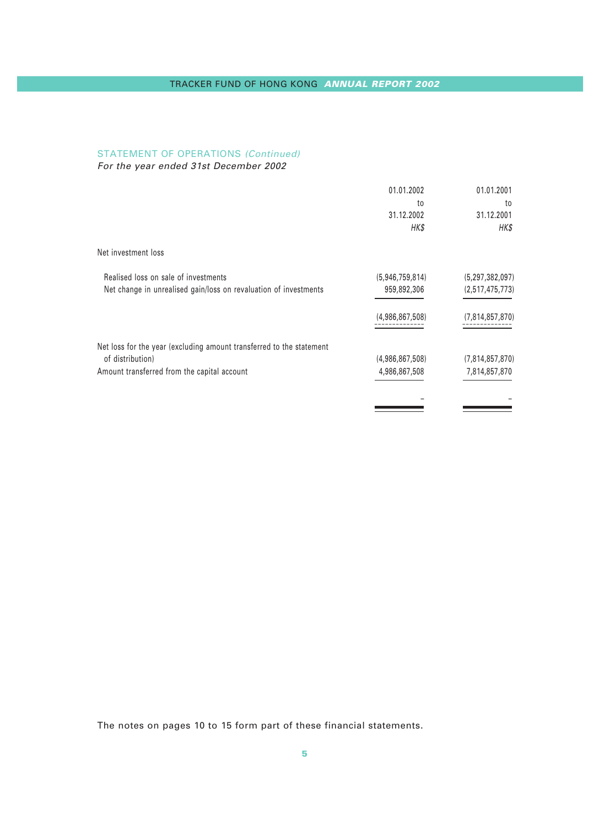# STATEMENT OF OPERATIONS (Continued)

For the year ended 31st December 2002

|                                                                      | 01.01.2002      | 01.01.2001      |
|----------------------------------------------------------------------|-----------------|-----------------|
|                                                                      | to              | to              |
|                                                                      | 31.12.2002      | 31.12.2001      |
|                                                                      | HK\$            | HK\$            |
| Net investment loss                                                  |                 |                 |
| Realised loss on sale of investments                                 | (5,946,759,814) | (5,297,382,097) |
| Net change in unrealised gain/loss on revaluation of investments     | 959,892,306     | (2,517,475,773) |
|                                                                      | (4,986,867,508) | (7,814,857,870) |
| Net loss for the year (excluding amount transferred to the statement |                 |                 |
| of distribution)                                                     | (4,986,867,508) | (7,814,857,870) |
| Amount transferred from the capital account                          | 4,986,867,508   | 7,814,857,870   |
|                                                                      |                 |                 |
|                                                                      |                 |                 |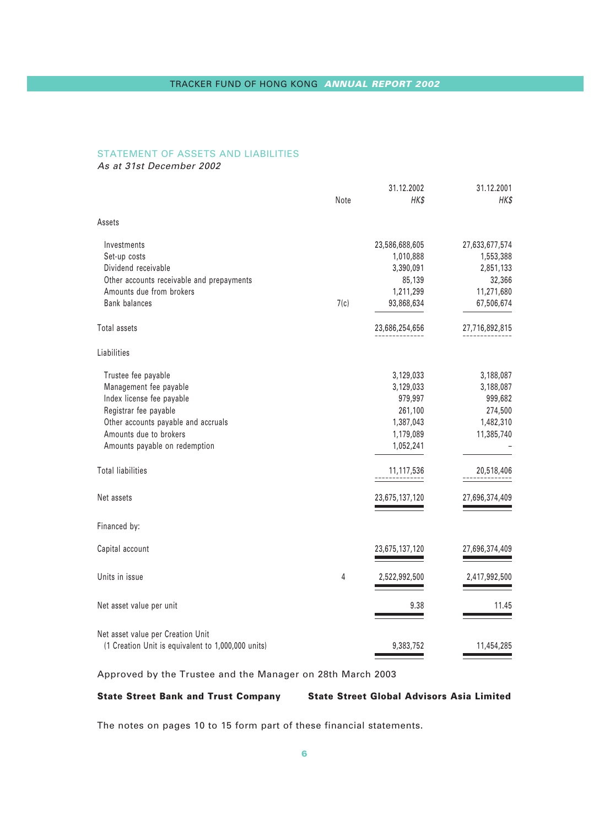# STATEMENT OF ASSETS AND LIABILITIES

As at 31st December 2002

|                                                                                         |      | 31.12.2002     | 31.12.2001     |
|-----------------------------------------------------------------------------------------|------|----------------|----------------|
|                                                                                         | Note | HK\$           | HK\$           |
| Assets                                                                                  |      |                |                |
| Investments                                                                             |      | 23,586,688,605 | 27,633,677,574 |
| Set-up costs                                                                            |      | 1,010,888      | 1,553,388      |
| Dividend receivable                                                                     |      | 3,390,091      | 2,851,133      |
| Other accounts receivable and prepayments                                               |      | 85,139         | 32,366         |
| Amounts due from brokers                                                                |      | 1,211,299      | 11,271,680     |
| <b>Bank balances</b>                                                                    | 7(c) | 93,868,634     | 67,506,674     |
| Total assets                                                                            |      | 23,686,254,656 | 27,716,892,815 |
| Liabilities                                                                             |      |                |                |
| Trustee fee payable                                                                     |      | 3,129,033      | 3,188,087      |
| Management fee payable                                                                  |      | 3,129,033      | 3,188,087      |
| Index license fee payable                                                               |      | 979,997        | 999,682        |
| Registrar fee payable                                                                   |      | 261,100        | 274,500        |
| Other accounts payable and accruals                                                     |      | 1,387,043      | 1,482,310      |
| Amounts due to brokers                                                                  |      | 1,179,089      | 11,385,740     |
| Amounts payable on redemption                                                           |      | 1,052,241      |                |
| <b>Total liabilities</b>                                                                |      | 11,117,536     | 20,518,406     |
| Net assets                                                                              |      | 23,675,137,120 | 27,696,374,409 |
| Financed by:                                                                            |      |                |                |
| Capital account                                                                         |      | 23,675,137,120 | 27,696,374,409 |
| Units in issue                                                                          | 4    | 2,522,992,500  | 2,417,992,500  |
| Net asset value per unit                                                                |      | 9.38           | 11.45          |
|                                                                                         |      |                |                |
| Net asset value per Creation Unit<br>(1 Creation Unit is equivalent to 1,000,000 units) |      | 9,383,752      | 11,454,285     |
|                                                                                         |      |                |                |

Approved by the Trustee and the Manager on 28th March 2003

**State Street Bank and Trust Company State Street Global Advisors Asia Limited**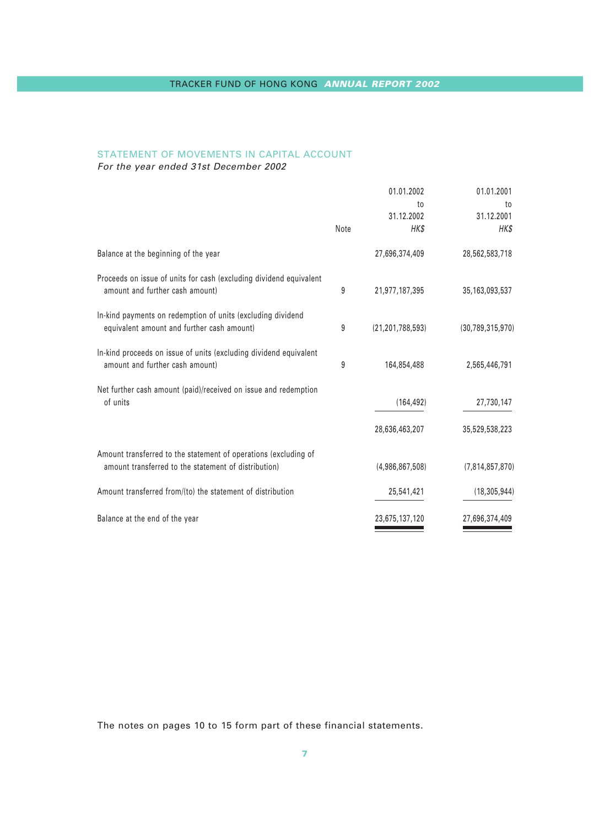# STATEMENT OF MOVEMENTS IN CAPITAL ACCOUNT For the year ended 31st December 2002

|      | 01.01.2002          | 01.01.2001          |
|------|---------------------|---------------------|
|      | to                  | to                  |
|      | 31.12.2002          | 31.12.2001          |
| Note | <b>HKS</b>          | HK\$                |
|      | 27,696,374,409      | 28,562,583,718      |
| 9    | 21.977.187.395      | 35,163,093,537      |
| 9    | (21, 201, 788, 593) | (30, 789, 315, 970) |
| 9    | 164,854,488         | 2,565,446,791       |
|      | (164, 492)          | 27,730,147          |
|      | 28,636,463,207      | 35,529,538,223      |
|      | (4,986,867,508)     | (7,814,857,870)     |
|      | 25,541,421          | (18, 305, 944)      |
|      | 23,675,137,120      | 27,696,374,409      |
|      |                     |                     |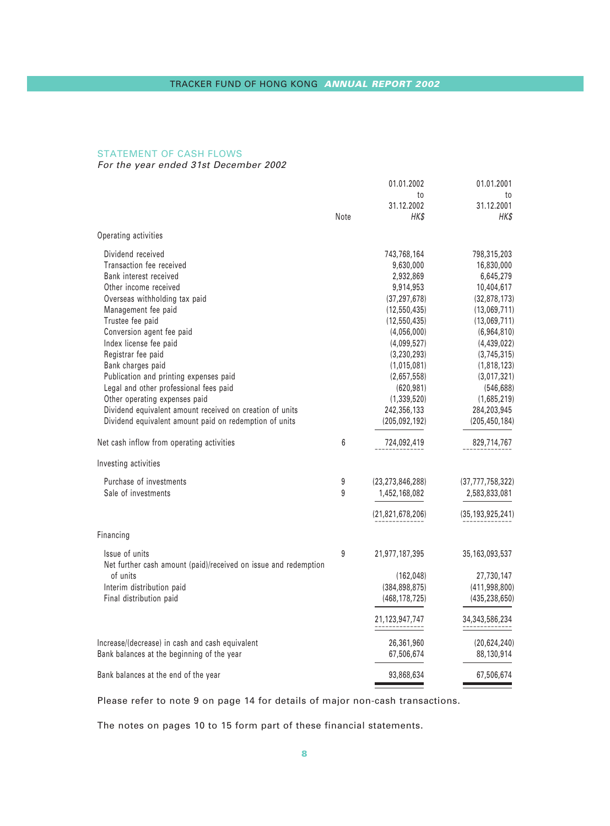# STATEMENT OF CASH FLOWS

For the year ended 31st December 2002

|                                                                 |      | 01.01.2002          | 01.01.2001          |
|-----------------------------------------------------------------|------|---------------------|---------------------|
|                                                                 |      | to                  | to                  |
|                                                                 |      | 31.12.2002          | 31.12.2001          |
|                                                                 | Note | HK\$                | HK\$                |
| Operating activities                                            |      |                     |                     |
| Dividend received                                               |      | 743,768,164         | 798,315,203         |
| Transaction fee received                                        |      | 9,630,000           | 16,830,000          |
| Bank interest received                                          |      | 2,932,869           | 6,645,279           |
| Other income received                                           |      | 9,914,953           | 10,404,617          |
| Overseas withholding tax paid                                   |      | (37, 297, 678)      | (32,878,173)        |
| Management fee paid                                             |      | (12,550,435)        | (13,069,711)        |
| Trustee fee paid                                                |      | (12, 550, 435)      | (13,069,711)        |
| Conversion agent fee paid                                       |      | (4,056,000)         | (6,964,810)         |
| Index license fee paid                                          |      | (4,099,527)         | (4,439,022)         |
| Registrar fee paid                                              |      | (3,230,293)         | (3,745,315)         |
| Bank charges paid                                               |      | (1,015,081)         | (1,818,123)         |
| Publication and printing expenses paid                          |      | (2,657,558)         | (3,017,321)         |
| Legal and other professional fees paid                          |      | (620, 981)          | (546, 688)          |
| Other operating expenses paid                                   |      | (1,339,520)         | (1,685,219)         |
| Dividend equivalent amount received on creation of units        |      | 242,356,133         | 284,203,945         |
| Dividend equivalent amount paid on redemption of units          |      | (205, 092, 192)     | (205, 450, 184)     |
| Net cash inflow from operating activities                       | 6    | 724,092,419         | 829,714,767         |
| Investing activities                                            |      |                     |                     |
| Purchase of investments                                         | 9    | (23, 273, 846, 288) | (37, 777, 758, 322) |
| Sale of investments                                             | 9    | 1,452,168,082       | 2,583,833,081       |
|                                                                 |      | (21,821,678,206)    | (35, 193, 925, 241) |
| Financing                                                       |      |                     |                     |
| Issue of units                                                  | 9    | 21,977,187,395      | 35, 163, 093, 537   |
| Net further cash amount (paid)/received on issue and redemption |      |                     |                     |
| of units                                                        |      | (162, 048)          | 27,730,147          |
| Interim distribution paid                                       |      | (384, 898, 875)     | (411,998,800)       |
| Final distribution paid                                         |      | (468, 178, 725)     | (435, 238, 650)     |
|                                                                 |      | 21,123,947,747      | 34,343,586,234      |
| Increase/(decrease) in cash and cash equivalent                 |      | 26,361,960          | (20,624,240)        |
| Bank balances at the beginning of the year                      |      | 67,506,674          | 88,130,914          |
| Bank balances at the end of the year                            |      | 93,868,634          | 67,506,674          |
|                                                                 |      |                     |                     |

Please refer to note 9 on page 14 for details of major non-cash transactions.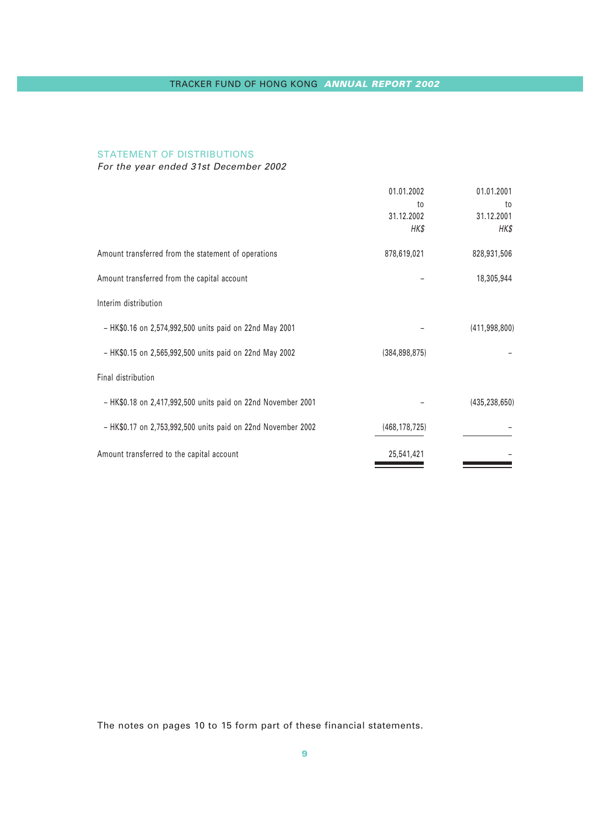# STATEMENT OF DISTRIBUTIONS

For the year ended 31st December 2002

|                                                              | 01.01.2002      | 01.01.2001      |
|--------------------------------------------------------------|-----------------|-----------------|
|                                                              | to              | to              |
|                                                              | 31.12.2002      | 31.12.2001      |
|                                                              | HK\$            | HK\$            |
| Amount transferred from the statement of operations          | 878,619,021     | 828,931,506     |
| Amount transferred from the capital account                  |                 | 18,305,944      |
| Interim distribution                                         |                 |                 |
| - HK\$0.16 on 2,574,992,500 units paid on 22nd May 2001      |                 | (411,998,800)   |
| - HK\$0.15 on 2,565,992,500 units paid on 22nd May 2002      | (384, 898, 875) |                 |
| Final distribution                                           |                 |                 |
| - HK\$0.18 on 2,417,992,500 units paid on 22nd November 2001 |                 | (435, 238, 650) |
| - HK\$0.17 on 2,753,992,500 units paid on 22nd November 2002 | (468, 178, 725) |                 |
| Amount transferred to the capital account                    | 25,541,421      |                 |
|                                                              |                 |                 |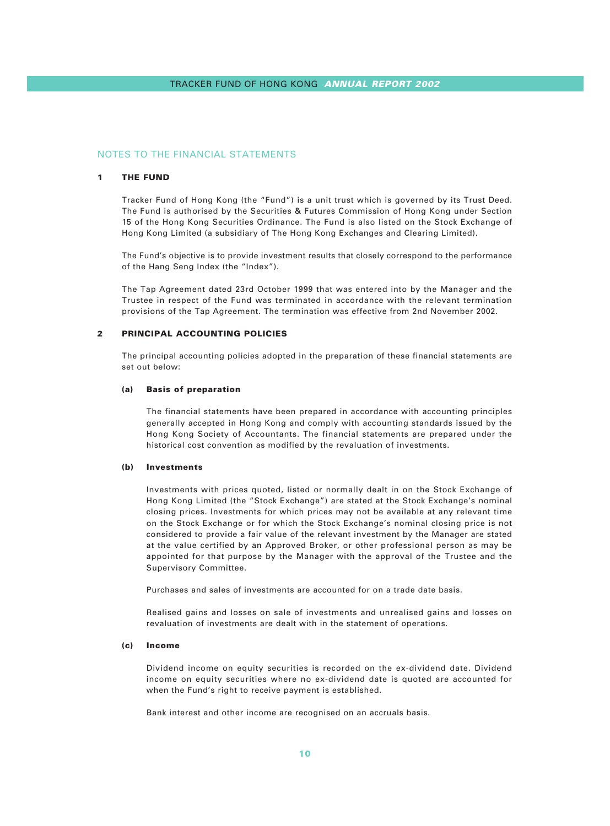# NOTES TO THE FINANCIAL STATEMENTS

#### **1 THE FUND**

Tracker Fund of Hong Kong (the "Fund") is a unit trust which is governed by its Trust Deed. The Fund is authorised by the Securities & Futures Commission of Hong Kong under Section 15 of the Hong Kong Securities Ordinance. The Fund is also listed on the Stock Exchange of Hong Kong Limited (a subsidiary of The Hong Kong Exchanges and Clearing Limited).

The Fund's objective is to provide investment results that closely correspond to the performance of the Hang Seng Index (the "Index").

The Tap Agreement dated 23rd October 1999 that was entered into by the Manager and the Trustee in respect of the Fund was terminated in accordance with the relevant termination provisions of the Tap Agreement. The termination was effective from 2nd November 2002.

#### **2 PRINCIPAL ACCOUNTING POLICIES**

The principal accounting policies adopted in the preparation of these financial statements are set out below:

#### **(a) Basis of preparation**

The financial statements have been prepared in accordance with accounting principles generally accepted in Hong Kong and comply with accounting standards issued by the Hong Kong Society of Accountants. The financial statements are prepared under the historical cost convention as modified by the revaluation of investments.

#### **(b) Investments**

Investments with prices quoted, listed or normally dealt in on the Stock Exchange of Hong Kong Limited (the "Stock Exchange") are stated at the Stock Exchange's nominal closing prices. Investments for which prices may not be available at any relevant time on the Stock Exchange or for which the Stock Exchange's nominal closing price is not considered to provide a fair value of the relevant investment by the Manager are stated at the value certified by an Approved Broker, or other professional person as may be appointed for that purpose by the Manager with the approval of the Trustee and the Supervisory Committee.

Purchases and sales of investments are accounted for on a trade date basis.

Realised gains and losses on sale of investments and unrealised gains and losses on revaluation of investments are dealt with in the statement of operations.

#### **(c) Income**

Dividend income on equity securities is recorded on the ex-dividend date. Dividend income on equity securities where no ex-dividend date is quoted are accounted for when the Fund's right to receive payment is established.

Bank interest and other income are recognised on an accruals basis.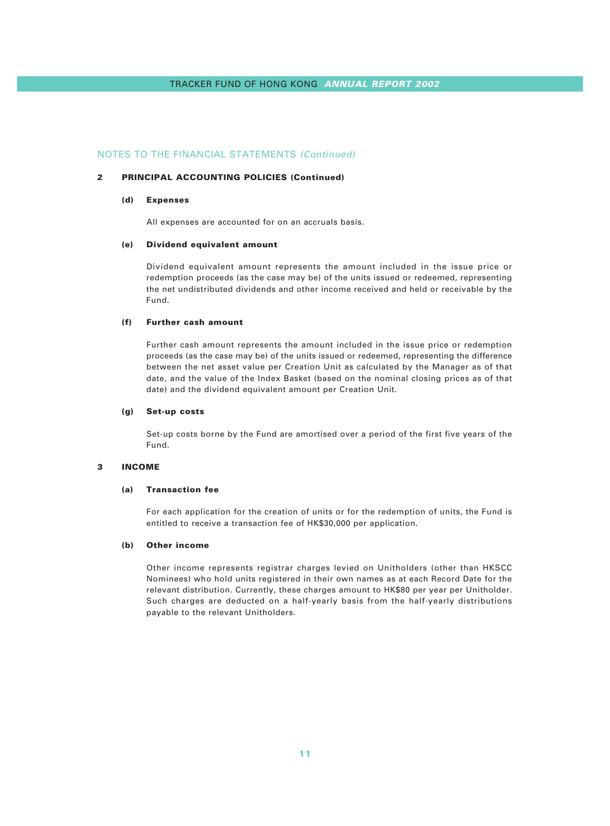#### **2 PRINCIPAL ACCOUNTING POLICIES (Continued)**

#### **(d) Expenses**

All expenses are accounted for on an accruals basis.

#### **(e) Dividend equivalent amount**

Dividend equivalent amount represents the amount included in the issue price or redemption proceeds (as the case may be) of the units issued or redeemed, representing the net undistributed dividends and other income received and held or receivable by the Fund.

#### **(f) Further cash amount**

Further cash amount represents the amount included in the issue price or redemption proceeds (as the case may be) of the units issued or redeemed, representing the difference between the net asset value per Creation Unit as calculated by the Manager as of that date, and the value of the Index Basket (based on the nominal closing prices as of that date) and the dividend equivalent amount per Creation Unit.

#### **(g) Set-up costs**

Set-up costs borne by the Fund are amortised over a period of the first five years of the Fund.

#### **3 INCOME**

#### **(a) Transaction fee**

For each application for the creation of units or for the redemption of units, the Fund is entitled to receive a transaction fee of HK\$30,000 per application.

#### **(b) Other income**

Other income represents registrar charges levied on Unitholders (other than HKSCC Nominees) who hold units registered in their own names as at each Record Date for the relevant distribution. Currently, these charges amount to HK\$80 per year per Unitholder. Such charges are deducted on a half-yearly basis from the half-yearly distributions payable to the relevant Unitholders.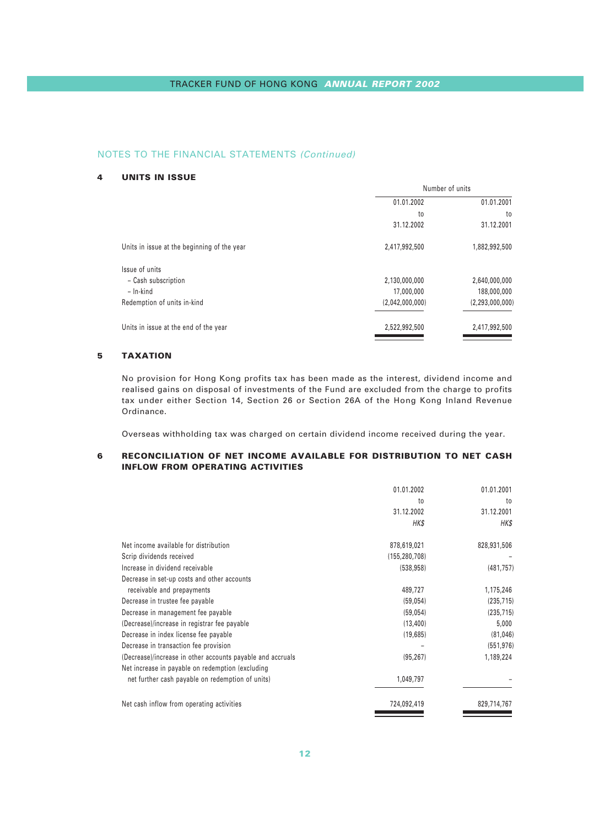# **4 UNITS IN ISSUE**

|                                             | Number of units |                    |
|---------------------------------------------|-----------------|--------------------|
|                                             | 01.01.2002      | 01.01.2001         |
|                                             | to              | to                 |
|                                             | 31.12.2002      | 31.12.2001         |
| Units in issue at the beginning of the year | 2,417,992,500   | 1,882,992,500      |
| Issue of units                              |                 |                    |
| - Cash subscription                         | 2,130,000,000   | 2,640,000,000      |
| - In-kind                                   | 17,000,000      | 188,000,000        |
| Redemption of units in-kind                 | (2,042,000,000) | (2, 293, 000, 000) |
| Units in issue at the end of the year       | 2,522,992,500   | 2,417,992,500      |
|                                             |                 |                    |

# **5 TAXATION**

No provision for Hong Kong profits tax has been made as the interest, dividend income and realised gains on disposal of investments of the Fund are excluded from the charge to profits tax under either Section 14, Section 26 or Section 26A of the Hong Kong Inland Revenue Ordinance.

Overseas withholding tax was charged on certain dividend income received during the year.

# **6 RECONCILIATION OF NET INCOME AVAILABLE FOR DISTRIBUTION TO NET CASH INFLOW FROM OPERATING ACTIVITIES**

|                                                            | 01.01.2002      | 01.01.2001  |
|------------------------------------------------------------|-----------------|-------------|
|                                                            | to              | to          |
|                                                            | 31.12.2002      | 31.12.2001  |
|                                                            | HK\$            | HK\$        |
| Net income available for distribution                      | 878,619,021     | 828,931,506 |
| Scrip dividends received                                   | (155, 280, 708) |             |
| Increase in dividend receivable                            | (538, 958)      | (481, 757)  |
| Decrease in set-up costs and other accounts                |                 |             |
| receivable and prepayments                                 | 489.727         | 1,175,246   |
| Decrease in trustee fee payable                            | (59,054)        | (235, 715)  |
| Decrease in management fee payable                         | (59,054)        | (235, 715)  |
| (Decrease)/increase in registrar fee payable               | (13, 400)       | 5,000       |
| Decrease in index license fee payable                      | (19,685)        | (81, 046)   |
| Decrease in transaction fee provision                      |                 | (551, 976)  |
| (Decrease)/increase in other accounts payable and accruals | (95, 267)       | 1,189,224   |
| Net increase in payable on redemption (excluding           |                 |             |
| net further cash payable on redemption of units)           | 1,049,797       |             |
| Net cash inflow from operating activities                  | 724,092,419     | 829,714,767 |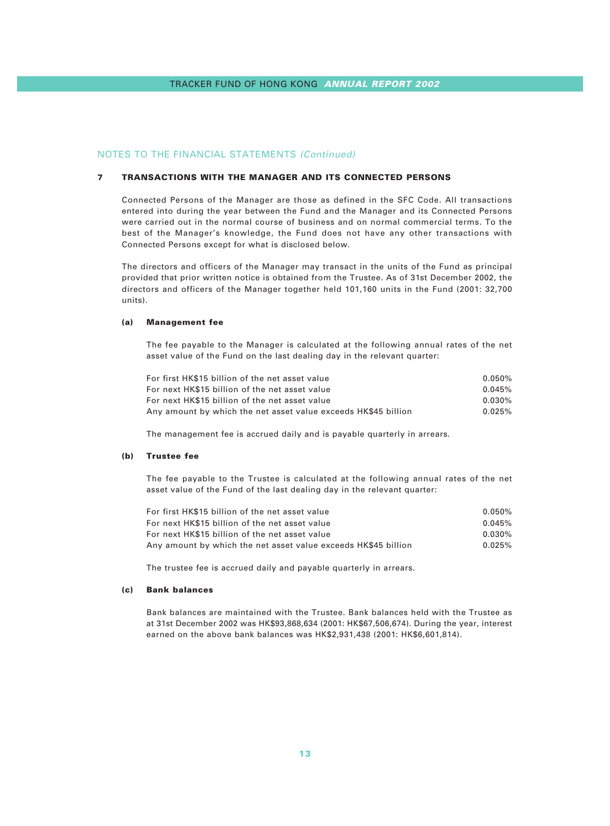#### **7 TRANSACTIONS WITH THE MANAGER AND ITS CONNECTED PERSONS**

Connected Persons of the Manager are those as defined in the SFC Code. All transactions entered into during the year between the Fund and the Manager and its Connected Persons were carried out in the normal course of business and on normal commercial terms. To the best of the Manager's knowledge, the Fund does not have any other transactions with Connected Persons except for what is disclosed below.

The directors and officers of the Manager may transact in the units of the Fund as principal provided that prior written notice is obtained from the Trustee. As of 31st December 2002, the directors and officers of the Manager together held 101,160 units in the Fund (2001: 32,700 units).

#### **(a) Management fee**

The fee payable to the Manager is calculated at the following annual rates of the net asset value of the Fund on the last dealing day in the relevant quarter:

| For first HK\$15 billion of the net asset value                | 0.050%    |
|----------------------------------------------------------------|-----------|
| For next HK\$15 billion of the net asset value                 | 0.045%    |
| For next HK\$15 billion of the net asset value                 | $0.030\%$ |
| Any amount by which the net asset value exceeds HK\$45 billion | 0.025%    |

The management fee is accrued daily and is payable quarterly in arrears.

#### **(b) Trustee fee**

The fee payable to the Trustee is calculated at the following annual rates of the net asset value of the Fund of the last dealing day in the relevant quarter:

| For first HK\$15 billion of the net asset value                | 0.050%    |
|----------------------------------------------------------------|-----------|
| For next HK\$15 billion of the net asset value                 | 0.045%    |
| For next HK\$15 billion of the net asset value                 | $0.030\%$ |
| Any amount by which the net asset value exceeds HK\$45 billion | 0.025%    |

The trustee fee is accrued daily and payable quarterly in arrears.

#### **(c) Bank balances**

Bank balances are maintained with the Trustee. Bank balances held with the Trustee as at 31st December 2002 was HK\$93,868,634 (2001: HK\$67,506,674). During the year, interest earned on the above bank balances was HK\$2,931,438 (2001: HK\$6,601,814).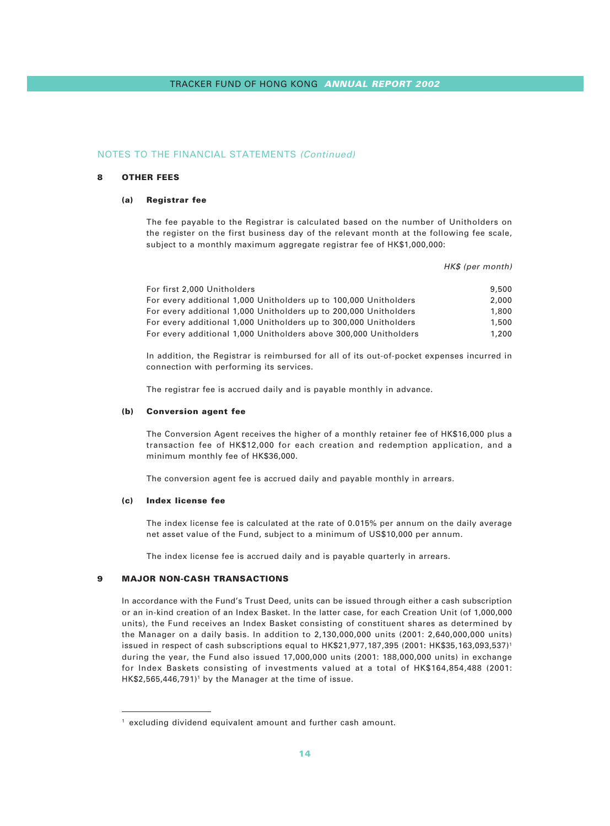#### **8 OTHER FEES**

#### **(a) Registrar fee**

The fee payable to the Registrar is calculated based on the number of Unitholders on the register on the first business day of the relevant month at the following fee scale, subject to a monthly maximum aggregate registrar fee of HK\$1,000,000:

HK\$ (per month)

| For first 2.000 Unitholders                                      | 9,500 |
|------------------------------------------------------------------|-------|
| For every additional 1,000 Unitholders up to 100,000 Unitholders | 2.000 |
| For every additional 1,000 Unitholders up to 200,000 Unitholders | 1.800 |
| For every additional 1,000 Unitholders up to 300,000 Unitholders | 1.500 |
| For every additional 1,000 Unitholders above 300,000 Unitholders | 1,200 |

In addition, the Registrar is reimbursed for all of its out-of-pocket expenses incurred in connection with performing its services.

The registrar fee is accrued daily and is payable monthly in advance.

#### **(b) Conversion agent fee**

The Conversion Agent receives the higher of a monthly retainer fee of HK\$16,000 plus a transaction fee of HK\$12,000 for each creation and redemption application, and a minimum monthly fee of HK\$36,000.

The conversion agent fee is accrued daily and payable monthly in arrears.

#### **(c) Index license fee**

The index license fee is calculated at the rate of 0.015% per annum on the daily average net asset value of the Fund, subject to a minimum of US\$10,000 per annum.

The index license fee is accrued daily and is payable quarterly in arrears.

#### **9 MAJOR NON-CASH TRANSACTIONS**

In accordance with the Fund's Trust Deed, units can be issued through either a cash subscription or an in-kind creation of an Index Basket. In the latter case, for each Creation Unit (of 1,000,000 units), the Fund receives an Index Basket consisting of constituent shares as determined by the Manager on a daily basis. In addition to 2,130,000,000 units (2001: 2,640,000,000 units) issued in respect of cash subscriptions equal to HK\$21,977,187,395 (2001: HK\$35,163,093,537)<sup>1</sup> during the year, the Fund also issued 17,000,000 units (2001: 188,000,000 units) in exchange for Index Baskets consisting of investments valued at a total of HK\$164,854,488 (2001: HK\$2,565,446,791)<sup>1</sup> by the Manager at the time of issue.

<sup>&</sup>lt;sup>1</sup> excluding dividend equivalent amount and further cash amount.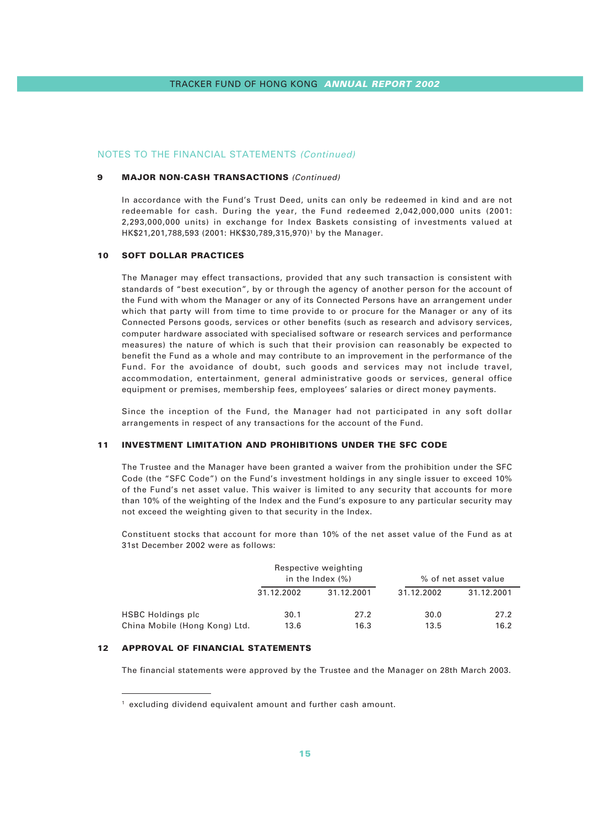#### **9 MAJOR NON-CASH TRANSACTIONS** (Continued)

In accordance with the Fund's Trust Deed, units can only be redeemed in kind and are not redeemable for cash. During the year, the Fund redeemed 2,042,000,000 units (2001: 2,293,000,000 units) in exchange for Index Baskets consisting of investments valued at HK\$21,201,788,593 (2001: HK\$30,789,315,970)<sup>1</sup> by the Manager.

#### **10 SOFT DOLLAR PRACTICES**

The Manager may effect transactions, provided that any such transaction is consistent with standards of "best execution", by or through the agency of another person for the account of the Fund with whom the Manager or any of its Connected Persons have an arrangement under which that party will from time to time provide to or procure for the Manager or any of its Connected Persons goods, services or other benefits (such as research and advisory services, computer hardware associated with specialised software or research services and performance measures) the nature of which is such that their provision can reasonably be expected to benefit the Fund as a whole and may contribute to an improvement in the performance of the Fund. For the avoidance of doubt, such goods and services may not include travel, accommodation, entertainment, general administrative goods or services, general office equipment or premises, membership fees, employees' salaries or direct money payments.

Since the inception of the Fund, the Manager had not participated in any soft dollar arrangements in respect of any transactions for the account of the Fund.

#### **11 INVESTMENT LIMITATION AND PROHIBITIONS UNDER THE SFC CODE**

The Trustee and the Manager have been granted a waiver from the prohibition under the SFC Code (the "SFC Code") on the Fund's investment holdings in any single issuer to exceed 10% of the Fund's net asset value. This waiver is limited to any security that accounts for more than 10% of the weighting of the Index and the Fund's exposure to any particular security may not exceed the weighting given to that security in the Index.

Constituent stocks that account for more than 10% of the net asset value of the Fund as at 31st December 2002 were as follows:

|                               | Respective weighting<br>in the Index $(\%)$ |            |            | % of net asset value |
|-------------------------------|---------------------------------------------|------------|------------|----------------------|
|                               | 31.12.2002                                  | 31.12.2001 | 31.12.2002 | 31.12.2001           |
| HSBC Holdings plc             | 30.1                                        | 27.2       | 30.0       | 27.2                 |
| China Mobile (Hong Kong) Ltd. | 13.6                                        | 16.3       | 13.5       | 16.2                 |

#### **12 APPROVAL OF FINANCIAL STATEMENTS**

The financial statements were approved by the Trustee and the Manager on 28th March 2003.

<sup>&</sup>lt;sup>1</sup> excluding dividend equivalent amount and further cash amount.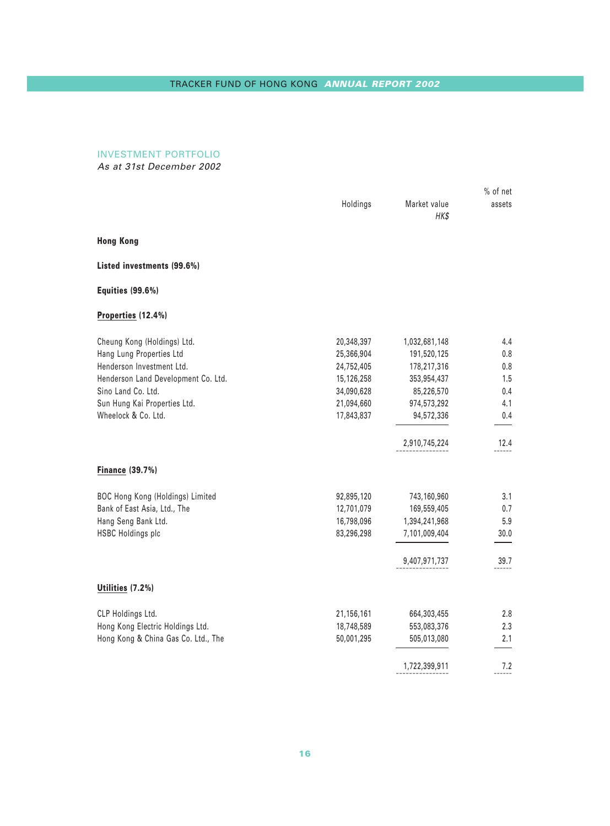# INVESTMENT PORTFOLIO

As at 31st December 2002

|                                     |            |                      | % of net |
|-------------------------------------|------------|----------------------|----------|
|                                     | Holdings   | Market value<br>HK\$ | assets   |
| <b>Hong Kong</b>                    |            |                      |          |
| Listed investments (99.6%)          |            |                      |          |
| <b>Equities (99.6%)</b>             |            |                      |          |
| Properties (12.4%)                  |            |                      |          |
| Cheung Kong (Holdings) Ltd.         | 20,348,397 | 1,032,681,148        | 4.4      |
| Hang Lung Properties Ltd            | 25,366,904 | 191,520,125          | 0.8      |
| Henderson Investment Ltd.           | 24,752,405 | 178,217,316          | 0.8      |
| Henderson Land Development Co. Ltd. | 15,126,258 | 353,954,437          | 1.5      |
| Sino Land Co. Ltd.                  | 34,090,628 | 85,226,570           | 0.4      |
| Sun Hung Kai Properties Ltd.        | 21,094,660 | 974,573,292          | 4.1      |
| Wheelock & Co. Ltd.                 | 17,843,837 | 94,572,336           | 0.4      |
|                                     |            | 2,910,745,224        | 12.4     |
| Finance (39.7%)                     |            |                      |          |
| BOC Hong Kong (Holdings) Limited    | 92,895,120 | 743,160,960          | 3.1      |
| Bank of East Asia, Ltd., The        | 12,701,079 | 169,559,405          | 0.7      |
| Hang Seng Bank Ltd.                 | 16,798,096 | 1,394,241,968        | 5.9      |
| <b>HSBC</b> Holdings plc            | 83,296,298 | 7,101,009,404        | 30.0     |
|                                     |            | 9,407,971,737        | 39.7     |
| Utilities (7.2%)                    |            |                      |          |
| CLP Holdings Ltd.                   | 21,156,161 | 664,303,455          | 2.8      |
| Hong Kong Electric Holdings Ltd.    | 18,748,589 | 553,083,376          | 2.3      |
| Hong Kong & China Gas Co. Ltd., The | 50,001,295 | 505,013,080          | 2.1      |
|                                     |            | 1,722,399,911        | 7.2      |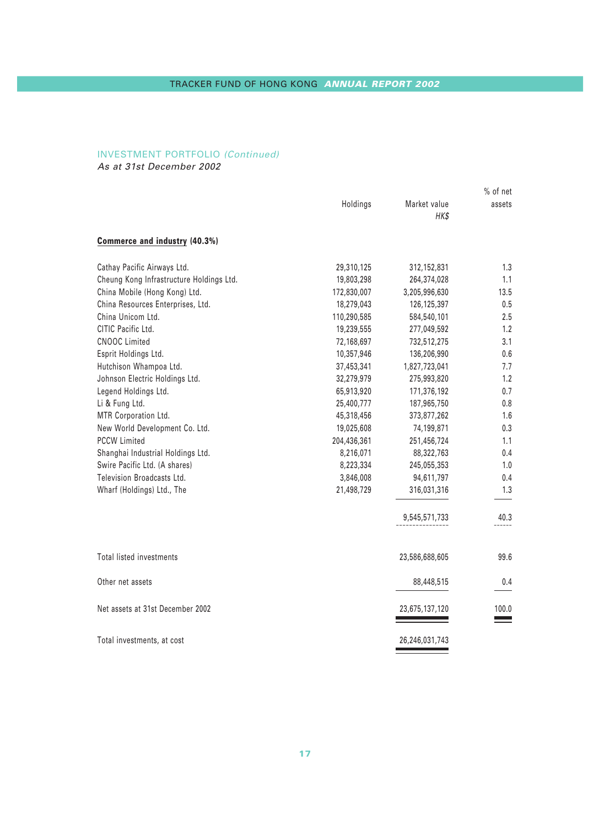# INVESTMENT PORTFOLIO (Continued)

As at 31st December 2002

|                                          |             |                | % of net |
|------------------------------------------|-------------|----------------|----------|
|                                          | Holdings    | Market value   | assets   |
|                                          |             | HK\$           |          |
| Commerce and industry (40.3%)            |             |                |          |
| Cathay Pacific Airways Ltd.              | 29,310,125  | 312, 152, 831  | 1.3      |
| Cheung Kong Infrastructure Holdings Ltd. | 19,803,298  | 264,374,028    | 1.1      |
| China Mobile (Hong Kong) Ltd.            | 172,830,007 | 3,205,996,630  | 13.5     |
| China Resources Enterprises, Ltd.        | 18,279,043  | 126, 125, 397  | 0.5      |
| China Unicom Ltd.                        | 110,290,585 | 584,540,101    | 2.5      |
| CITIC Pacific Ltd.                       | 19,239,555  | 277,049,592    | 1.2      |
| <b>CNOOC Limited</b>                     | 72,168,697  | 732,512,275    | 3.1      |
| Esprit Holdings Ltd.                     | 10,357,946  | 136,206,990    | 0.6      |
| Hutchison Whampoa Ltd.                   | 37,453,341  | 1,827,723,041  | 7.7      |
| Johnson Electric Holdings Ltd.           | 32,279,979  | 275,993,820    | 1.2      |
| Legend Holdings Ltd.                     | 65,913,920  | 171,376,192    | 0.7      |
| Li & Fung Ltd.                           | 25,400,777  | 187,965,750    | 0.8      |
| MTR Corporation Ltd.                     | 45,318,456  | 373,877,262    | 1.6      |
| New World Development Co. Ltd.           | 19,025,608  | 74,199,871     | 0.3      |
| <b>PCCW Limited</b>                      | 204,436,361 | 251,456,724    | 1.1      |
| Shanghai Industrial Holdings Ltd.        | 8,216,071   | 88,322,763     | 0.4      |
| Swire Pacific Ltd. (A shares)            | 8,223,334   | 245,055,353    | 1.0      |
| Television Broadcasts Ltd.               | 3,846,008   | 94,611,797     | 0.4      |
| Wharf (Holdings) Ltd., The               | 21,498,729  | 316,031,316    | 1.3      |
|                                          |             | 9,545,571,733  | 40.3     |
| <b>Total listed investments</b>          |             | 23,586,688,605 | 99.6     |
| Other net assets                         |             | 88,448,515     | 0.4      |
| Net assets at 31st December 2002         |             | 23,675,137,120 | 100.0    |
| Total investments, at cost               |             | 26,246,031,743 |          |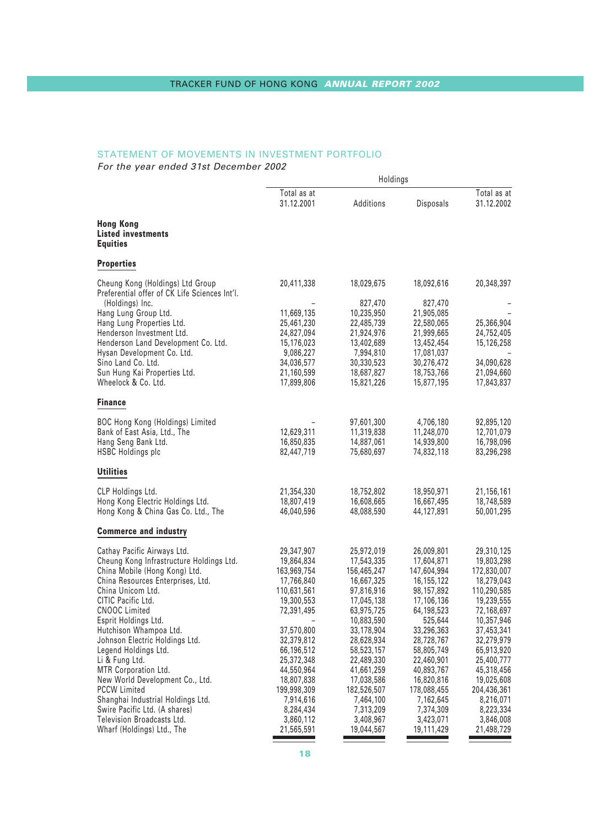# STATEMENT OF MOVEMENTS IN INVESTMENT PORTFOLIO

For the year ended 31st December 2002

| Total as at<br>31.12.2001                                                                                                                                                                                                                  | Additions                                                                                                                                                                                                                                               | Disposals                                                                                                                                                                                                                                            | Total as at<br>31.12.2002                                                                                                                                                                                                                                              |
|--------------------------------------------------------------------------------------------------------------------------------------------------------------------------------------------------------------------------------------------|---------------------------------------------------------------------------------------------------------------------------------------------------------------------------------------------------------------------------------------------------------|------------------------------------------------------------------------------------------------------------------------------------------------------------------------------------------------------------------------------------------------------|------------------------------------------------------------------------------------------------------------------------------------------------------------------------------------------------------------------------------------------------------------------------|
|                                                                                                                                                                                                                                            |                                                                                                                                                                                                                                                         |                                                                                                                                                                                                                                                      |                                                                                                                                                                                                                                                                        |
|                                                                                                                                                                                                                                            |                                                                                                                                                                                                                                                         |                                                                                                                                                                                                                                                      |                                                                                                                                                                                                                                                                        |
| 20,411,338<br>11,669,135<br>25,461,230<br>24,827,094<br>15,176,023<br>9,086,227<br>34,036,577<br>21,160,599<br>17,899,806                                                                                                                  | 18,029,675<br>827,470<br>10,235,950<br>22,485,739<br>21,924,976<br>13,402,689<br>7,994,810<br>30,330,523<br>18,687,827<br>15,821,226                                                                                                                    | 18,092,616<br>827,470<br>21,905,085<br>22,580,065<br>21,999,665<br>13,452,454<br>17,081,037<br>30,276,472<br>18,753,766<br>15,877,195                                                                                                                | 20,348,397<br>25,366,904<br>24,752,405<br>15,126,258<br>34,090,628<br>21,094,660<br>17,843,837                                                                                                                                                                         |
|                                                                                                                                                                                                                                            |                                                                                                                                                                                                                                                         |                                                                                                                                                                                                                                                      |                                                                                                                                                                                                                                                                        |
| 12,629,311<br>16,850,835<br>82,447,719                                                                                                                                                                                                     | 97,601,300<br>11,319,838<br>14,887,061<br>75,680,697                                                                                                                                                                                                    | 4,706,180<br>11,248,070<br>14,939,800<br>74,832,118                                                                                                                                                                                                  | 92,895,120<br>12,701,079<br>16,798,096<br>83,296,298                                                                                                                                                                                                                   |
|                                                                                                                                                                                                                                            |                                                                                                                                                                                                                                                         |                                                                                                                                                                                                                                                      |                                                                                                                                                                                                                                                                        |
| 21,354,330<br>18,807,419<br>46,040,596                                                                                                                                                                                                     | 18,752,802<br>16,608,665<br>48,088,590                                                                                                                                                                                                                  | 18,950,971<br>16,667,495<br>44,127,891                                                                                                                                                                                                               | 21, 156, 161<br>18,748,589<br>50,001,295                                                                                                                                                                                                                               |
|                                                                                                                                                                                                                                            |                                                                                                                                                                                                                                                         |                                                                                                                                                                                                                                                      |                                                                                                                                                                                                                                                                        |
| 29,347,907<br>19,864,834<br>163,969,754<br>17,766,840<br>110,631,561<br>19,300,553<br>72,391,495<br>37,570,800<br>32,379,812<br>66,196,512<br>25,372,348<br>44,550,964<br>18,807,838<br>199,998,309<br>7,914,616<br>8,284,434<br>3,860,112 | 25,972,019<br>17,543,335<br>156,465,247<br>16,667,325<br>97,816,916<br>17,045,138<br>63,975,725<br>10,883,590<br>33,178,904<br>28,628,934<br>58,523,157<br>22,489,330<br>41,661,259<br>17,038,586<br>182,526,507<br>7,464,100<br>7,313,209<br>3,408,967 | 26,009,801<br>17,604,871<br>147,604,994<br>16,155,122<br>98,157,892<br>17,106,136<br>64,198,523<br>525,644<br>33,296,363<br>28,728,767<br>58,805,749<br>22,460,901<br>40,893,767<br>16,820,816<br>178,088,455<br>7,162,645<br>7,374,309<br>3,423,071 | 29,310,125<br>19,803,298<br>172,830,007<br>18,279,043<br>110,290,585<br>19,239,555<br>72,168,697<br>10,357,946<br>37,453,341<br>32,279,979<br>65,913,920<br>25,400,777<br>45,318,456<br>19,025,608<br>204,436,361<br>8,216,071<br>8,223,334<br>3,846,008<br>21,498,729 |
|                                                                                                                                                                                                                                            | 21,565,591                                                                                                                                                                                                                                              | 19,044,567                                                                                                                                                                                                                                           | Holdings<br>19,111,429                                                                                                                                                                                                                                                 |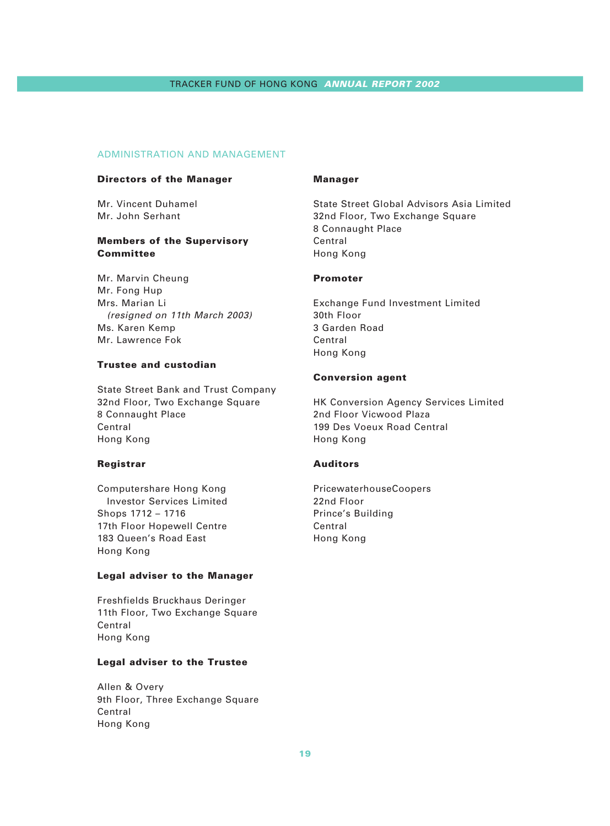# ADMINISTRATION AND MANAGEMENT

# **Directors of the Manager**

Mr. Vincent Duhamel Mr. John Serhant

# **Members of the Supervisory Committee**

Mr. Marvin Cheung Mr. Fong Hup Mrs. Marian Li (resigned on 11th March 2003) Ms. Karen Kemp Mr. Lawrence Fok

# **Trustee and custodian**

State Street Bank and Trust Company 32nd Floor, Two Exchange Square 8 Connaught Place Central Hong Kong

# **Registrar**

Computershare Hong Kong Investor Services Limited Shops 1712 – 1716 17th Floor Hopewell Centre 183 Queen's Road East Hong Kong

# **Legal adviser to the Manager**

Freshfields Bruckhaus Deringer 11th Floor, Two Exchange Square Central Hong Kong

# **Legal adviser to the Trustee**

Allen & Overy 9th Floor, Three Exchange Square Central Hong Kong

#### **Manager**

State Street Global Advisors Asia Limited 32nd Floor, Two Exchange Square 8 Connaught Place Central Hong Kong

# **Promoter**

Exchange Fund Investment Limited 30th Floor 3 Garden Road Central Hong Kong

# **Conversion agent**

HK Conversion Agency Services Limited 2nd Floor Vicwood Plaza 199 Des Voeux Road Central Hong Kong

# **Auditors**

PricewaterhouseCoopers 22nd Floor Prince's Building Central Hong Kong